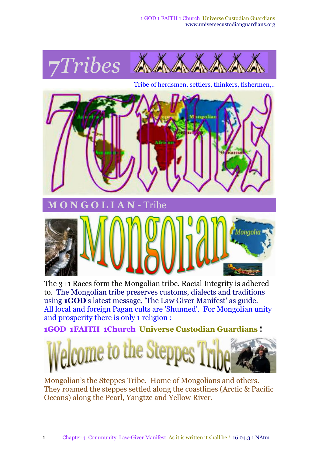

Tribe of herdsmen, settlers, thinkers, fishermen,..





The 3+1 Races form the Mongolian tribe. Racial Integrity is adhered to. The Mongolian tribe preserves customs, dialects and traditions using **1GOD**'s latest message, 'The Law Giver Manifest' as guide. All local and foreign Pagan cults are 'Shunned'. For Mongolian unity and prosperity there is only 1 religion :

**1GOD 1FAITH 1Church Universe Custodian Guardians !**



Mongolian's the Steppes Tribe. Home of Mongolians and others. They roamed the steppes settled along the coastlines (Arctic & Pacific Oceans) along the Pearl, Yangtze and Yellow River.